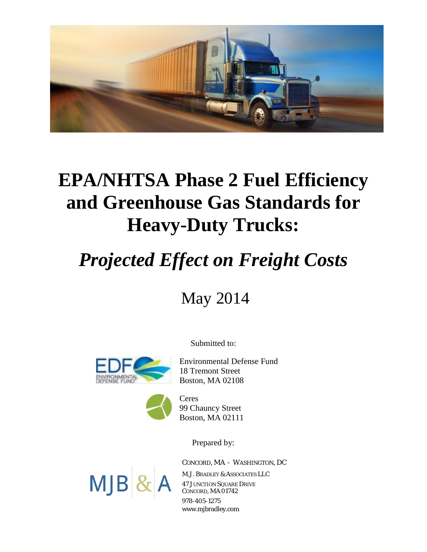

# **EPA/NHTSA Phase 2 Fuel Efficiency and Greenhouse Gas Standards for Heavy-Duty Trucks:**

# *Projected Effect on Freight Costs*

May 2014

Submitted to:



Environmental Defense Fund 18 Tremont Street Boston, MA 02108



Ceres 99 Chauncy Street Boston, MA 02111

Prepared by:

*CONCORD, MA - WASHINGTON, DC*



M.J. BRADLEY & ASSOCIATES LLC 47 JUNCTION SQUARE DRIVE CONCORD, MA 01742 978-405-1275 www.mjbradley.com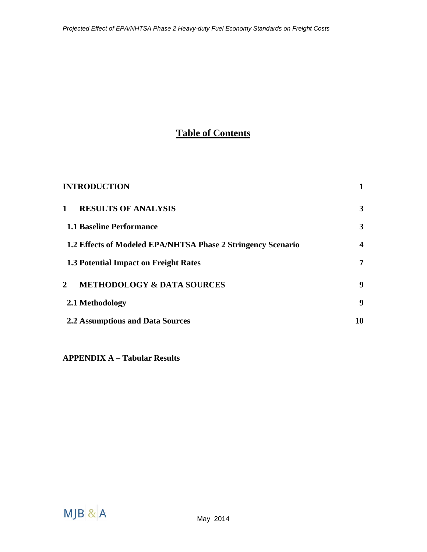## **Table of Contents**

| <b>INTRODUCTION</b>                                          |                  |
|--------------------------------------------------------------|------------------|
| <b>RESULTS OF ANALYSIS</b><br>$\mathbf{1}$                   | 3                |
| <b>1.1 Baseline Performance</b>                              | 3                |
| 1.2 Effects of Modeled EPA/NHTSA Phase 2 Stringency Scenario | $\boldsymbol{4}$ |
| 1.3 Potential Impact on Freight Rates                        | $\overline{7}$   |
| <b>METHODOLOGY &amp; DATA SOURCES</b><br>$\mathbf{2}$        | 9                |
| 2.1 Methodology                                              | 9                |
| <b>2.2 Assumptions and Data Sources</b>                      | 10               |

**APPENDIX A – Tabular Results**

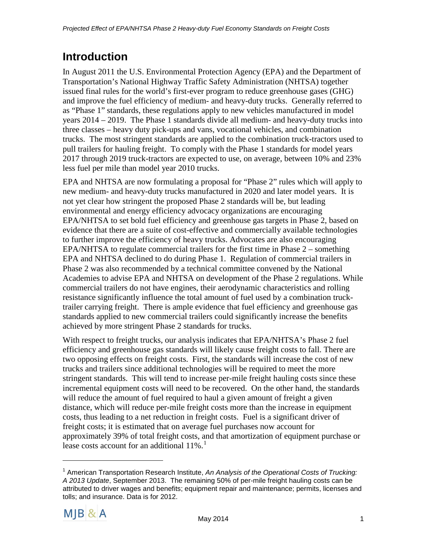# <span id="page-3-0"></span>**Introduction**

In August 2011 the U.S. Environmental Protection Agency (EPA) and the Department of Transportation's National Highway Traffic Safety Administration (NHTSA) together issued final rules for the world's first-ever program to reduce greenhouse gases (GHG) and improve the fuel efficiency of medium- and heavy-duty trucks. Generally referred to as "Phase 1" standards, these regulations apply to new vehicles manufactured in model years 2014 – 2019. The Phase 1 standards divide all medium- and heavy-duty trucks into three classes – heavy duty pick-ups and vans, vocational vehicles, and combination trucks. The most stringent standards are applied to the combination truck-tractors used to pull trailers for hauling freight. To comply with the Phase 1 standards for model years 2017 through 2019 truck-tractors are expected to use, on average, between 10% and 23% less fuel per mile than model year 2010 trucks.

EPA and NHTSA are now formulating a proposal for "Phase 2" rules which will apply to new medium- and heavy-duty trucks manufactured in 2020 and later model years. It is not yet clear how stringent the proposed Phase 2 standards will be, but leading environmental and energy efficiency advocacy organizations are encouraging EPA/NHTSA to set bold fuel efficiency and greenhouse gas targets in Phase 2, based on evidence that there are a suite of cost-effective and commercially available technologies to further improve the efficiency of heavy trucks. Advocates are also encouraging EPA/NHTSA to regulate commercial trailers for the first time in Phase 2 – something EPA and NHTSA declined to do during Phase 1. Regulation of commercial trailers in Phase 2 was also recommended by a technical committee convened by the National Academies to advise EPA and NHTSA on development of the Phase 2 regulations. While commercial trailers do not have engines, their aerodynamic characteristics and rolling resistance significantly influence the total amount of fuel used by a combination trucktrailer carrying freight. There is ample evidence that fuel efficiency and greenhouse gas standards applied to new commercial trailers could significantly increase the benefits achieved by more stringent Phase 2 standards for trucks.

With respect to freight trucks, our analysis indicates that EPA/NHTSA's Phase 2 fuel efficiency and greenhouse gas standards will likely cause freight costs to fall. There are two opposing effects on freight costs. First, the standards will increase the cost of new trucks and trailers since additional technologies will be required to meet the more stringent standards. This will tend to increase per-mile freight hauling costs since these incremental equipment costs will need to be recovered. On the other hand, the standards will reduce the amount of fuel required to haul a given amount of freight a given distance, which will reduce per-mile freight costs more than the increase in equipment costs, thus leading to a net reduction in freight costs. Fuel is a significant driver of freight costs; it is estimated that on average fuel purchases now account for approximately 39% of total freight costs, and that amortization of equipment purchase or lease costs account for an additional  $11\%$  $11\%$ .<sup>1</sup>

<span id="page-3-1"></span><sup>1</sup> American Transportation Research Institute, *An Analysis of the Operational Costs of Trucking: A 2013 Update*, September 2013. The remaining 50% of per-mile freight hauling costs can be attributed to driver wages and benefits; equipment repair and maintenance; permits, licenses and tolls; and insurance. Data is for 2012.

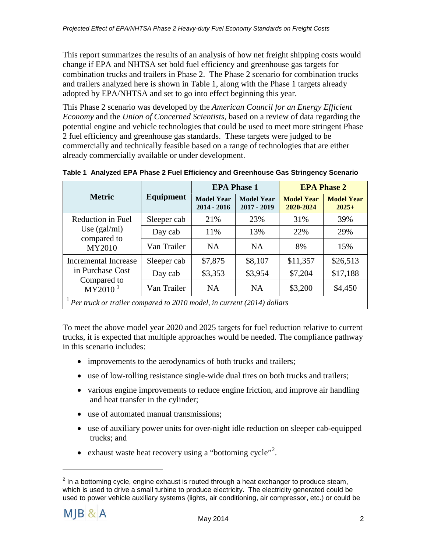This report summarizes the results of an analysis of how net freight shipping costs would change if EPA and NHTSA set bold fuel efficiency and greenhouse gas targets for combination trucks and trailers in Phase 2. The Phase 2 scenario for combination trucks and trailers analyzed here is shown in Table 1, along with the Phase 1 targets already adopted by EPA/NHTSA and set to go into effect beginning this year.

This Phase 2 scenario was developed by the *American Council for an Energy Efficient Economy* and the *Union of Concerned Scientists*, based on a review of data regarding the potential engine and vehicle technologies that could be used to meet more stringent Phase 2 fuel efficiency and greenhouse gas standards. These targets were judged to be commercially and technically feasible based on a range of technologies that are either already commercially available or under development.

|                                                                               |             | <b>EPA Phase 1</b>                 |                                  |                                | <b>EPA Phase 2</b>           |
|-------------------------------------------------------------------------------|-------------|------------------------------------|----------------------------------|--------------------------------|------------------------------|
| <b>Metric</b>                                                                 | Equipment   | <b>Model Year</b><br>$2014 - 2016$ | <b>Model Year</b><br>2017 - 2019 | <b>Model Year</b><br>2020-2024 | <b>Model Year</b><br>$2025+$ |
| Reduction in Fuel                                                             | Sleeper cab | 21%                                | 23%                              | 31%                            | 39%                          |
| Use $(gal/mi)$                                                                | Day cab     | 11%                                | 13%                              | 22%                            | 29%                          |
| compared to<br>MY2010                                                         | Van Trailer | <b>NA</b>                          | <b>NA</b>                        | 8%                             | 15%                          |
| Incremental Increase                                                          | Sleeper cab | \$7,875                            | \$8,107                          | \$11,357                       | \$26,513                     |
| in Purchase Cost                                                              | Day cab     | \$3,353                            | \$3,954                          | \$7,204                        | \$17,188                     |
| Compared to<br>$\overline{\text{MY}}2010$ <sup>1</sup>                        | Van Trailer | <b>NA</b>                          | <b>NA</b>                        | \$3,200                        | \$4,450                      |
| $^{1}$ Per truck or trailer compared to 2010 model, in current (2014) dollars |             |                                    |                                  |                                |                              |

**Table 1 Analyzed EPA Phase 2 Fuel Efficiency and Greenhouse Gas Stringency Scenario**

To meet the above model year 2020 and 2025 targets for fuel reduction relative to current trucks, it is expected that multiple approaches would be needed. The compliance pathway in this scenario includes:

- improvements to the aerodynamics of both trucks and trailers;
- use of low-rolling resistance single-wide dual tires on both trucks and trailers;
- various engine improvements to reduce engine friction, and improve air handling and heat transfer in the cylinder;
- use of automated manual transmissions:
- use of auxiliary power units for over-night idle reduction on sleeper cab-equipped trucks; and
- exhaust waste heat recovery using a "bottoming cycle"<sup>[2](#page-4-0)</sup>.

<span id="page-4-0"></span> $2$  In a bottoming cycle, engine exhaust is routed through a heat exchanger to produce steam, which is used to drive a small turbine to produce electricity. The electricity generated could be used to power vehicle auxiliary systems (lights, air conditioning, air compressor, etc.) or could be

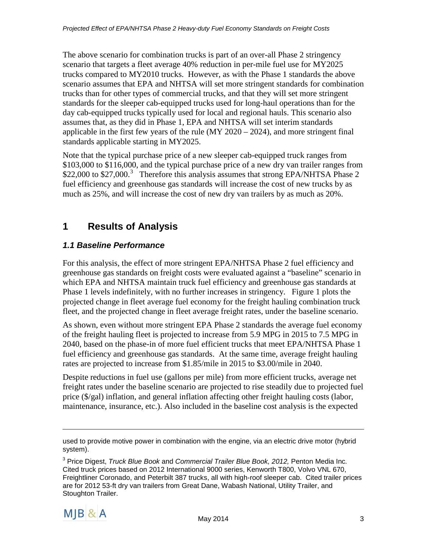The above scenario for combination trucks is part of an over-all Phase 2 stringency scenario that targets a fleet average 40% reduction in per-mile fuel use for MY2025 trucks compared to MY2010 trucks. However, as with the Phase 1 standards the above scenario assumes that EPA and NHTSA will set more stringent standards for combination trucks than for other types of commercial trucks, and that they will set more stringent standards for the sleeper cab-equipped trucks used for long-haul operations than for the day cab-equipped trucks typically used for local and regional hauls. This scenario also assumes that, as they did in Phase 1, EPA and NHTSA will set interim standards applicable in the first few years of the rule  $(MY 2020 - 2024)$ , and more stringent final standards applicable starting in MY2025.

Note that the typical purchase price of a new sleeper cab-equipped truck ranges from \$103,000 to \$116,000, and the typical purchase price of a new dry van trailer ranges from \$22,000 to \$27,000.<sup>[3](#page-5-2)</sup> Therefore this analysis assumes that strong EPA/NHTSA Phase 2 fuel efficiency and greenhouse gas standards will increase the cost of new trucks by as much as 25%, and will increase the cost of new dry van trailers by as much as 20%.

### <span id="page-5-0"></span>**1 Results of Analysis**

#### <span id="page-5-1"></span>*1.1 Baseline Performance*

For this analysis, the effect of more stringent EPA/NHTSA Phase 2 fuel efficiency and greenhouse gas standards on freight costs were evaluated against a "baseline" scenario in which EPA and NHTSA maintain truck fuel efficiency and greenhouse gas standards at Phase 1 levels indefinitely, with no further increases in stringency. Figure 1 plots the projected change in fleet average fuel economy for the freight hauling combination truck fleet, and the projected change in fleet average freight rates, under the baseline scenario.

As shown, even without more stringent EPA Phase 2 standards the average fuel economy of the freight hauling fleet is projected to increase from 5.9 MPG in 2015 to 7.5 MPG in 2040, based on the phase-in of more fuel efficient trucks that meet EPA/NHTSA Phase 1 fuel efficiency and greenhouse gas standards. At the same time, average freight hauling rates are projected to increase from \$1.85/mile in 2015 to \$3.00/mile in 2040.

Despite reductions in fuel use (gallons per mile) from more efficient trucks, average net freight rates under the baseline scenario are projected to rise steadily due to projected fuel price (\$/gal) inflation, and general inflation affecting other freight hauling costs (labor, maintenance, insurance, etc.). Also included in the baseline cost analysis is the expected

<span id="page-5-2"></span><sup>3</sup> Price Digest, *Truck Blue Book* and *Commercial Trailer Blue Book, 2012,* Penton Media Inc*.* Cited truck prices based on 2012 International 9000 series, Kenworth T800, Volvo VNL 670, Freightliner Coronado, and Peterbilt 387 trucks, all with high-roof sleeper cab. Cited trailer prices are for 2012 53-ft dry van trailers from Great Dane, Wabash National, Utility Trailer, and Stoughton Trailer.



used to provide motive power in combination with the engine, via an electric drive motor (hybrid system).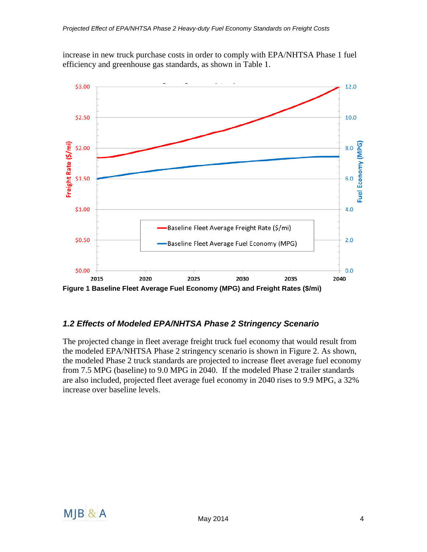increase in new truck purchase costs in order to comply with EPA/NHTSA Phase 1 fuel efficiency and greenhouse gas standards, as shown in Table 1.



#### <span id="page-6-0"></span>*1.2 Effects of Modeled EPA/NHTSA Phase 2 Stringency Scenario*

The projected change in fleet average freight truck fuel economy that would result from the modeled EPA/NHTSA Phase 2 stringency scenario is shown in Figure 2. As shown, the modeled Phase 2 truck standards are projected to increase fleet average fuel economy from 7.5 MPG (baseline) to 9.0 MPG in 2040. If the modeled Phase 2 trailer standards are also included, projected fleet average fuel economy in 2040 rises to 9.9 MPG, a 32% increase over baseline levels.

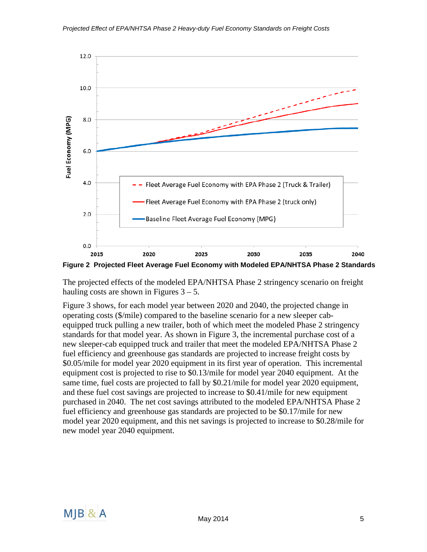

**Figure 2 Projected Fleet Average Fuel Economy with Modeled EPA/NHTSA Phase 2 Standards**

The projected effects of the modeled EPA/NHTSA Phase 2 stringency scenario on freight hauling costs are shown in Figures  $3 - 5$ .

Figure 3 shows, for each model year between 2020 and 2040, the projected change in operating costs (\$/mile) compared to the baseline scenario for a new sleeper cabequipped truck pulling a new trailer, both of which meet the modeled Phase 2 stringency standards for that model year. As shown in Figure 3, the incremental purchase cost of a new sleeper-cab equipped truck and trailer that meet the modeled EPA/NHTSA Phase 2 fuel efficiency and greenhouse gas standards are projected to increase freight costs by \$0.05/mile for model year 2020 equipment in its first year of operation. This incremental equipment cost is projected to rise to \$0.13/mile for model year 2040 equipment. At the same time, fuel costs are projected to fall by \$0.21/mile for model year 2020 equipment, and these fuel cost savings are projected to increase to \$0.41/mile for new equipment purchased in 2040. The net cost savings attributed to the modeled EPA/NHTSA Phase 2 fuel efficiency and greenhouse gas standards are projected to be \$0.17/mile for new model year 2020 equipment, and this net savings is projected to increase to \$0.28/mile for new model year 2040 equipment.

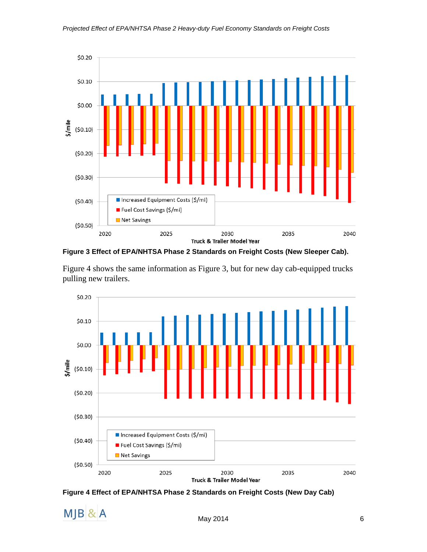

**Figure 3 Effect of EPA/NHTSA Phase 2 Standards on Freight Costs (New Sleeper Cab).**

Figure 4 shows the same information as Figure 3, but for new day cab-equipped trucks pulling new trailers.



**Figure 4 Effect of EPA/NHTSA Phase 2 Standards on Freight Costs (New Day Cab)**

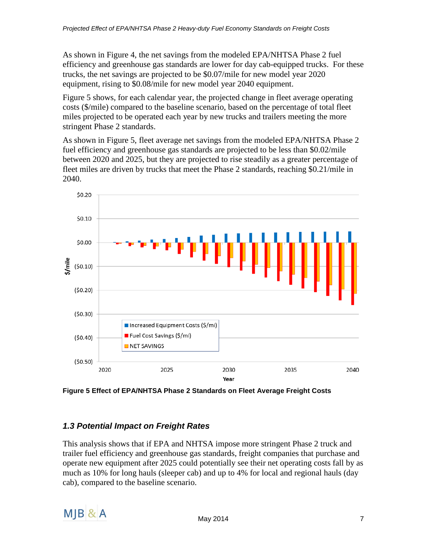As shown in Figure 4, the net savings from the modeled EPA/NHTSA Phase 2 fuel efficiency and greenhouse gas standards are lower for day cab-equipped trucks. For these trucks, the net savings are projected to be \$0.07/mile for new model year 2020 equipment, rising to \$0.08/mile for new model year 2040 equipment.

Figure 5 shows, for each calendar year, the projected change in fleet average operating costs (\$/mile) compared to the baseline scenario, based on the percentage of total fleet miles projected to be operated each year by new trucks and trailers meeting the more stringent Phase 2 standards.

As shown in Figure 5, fleet average net savings from the modeled EPA/NHTSA Phase 2 fuel efficiency and greenhouse gas standards are projected to be less than \$0.02/mile between 2020 and 2025, but they are projected to rise steadily as a greater percentage of fleet miles are driven by trucks that meet the Phase 2 standards, reaching \$0.21/mile in 2040.



**Figure 5 Effect of EPA/NHTSA Phase 2 Standards on Fleet Average Freight Costs**

#### <span id="page-9-0"></span>*1.3 Potential Impact on Freight Rates*

This analysis shows that if EPA and NHTSA impose more stringent Phase 2 truck and trailer fuel efficiency and greenhouse gas standards, freight companies that purchase and operate new equipment after 2025 could potentially see their net operating costs fall by as much as 10% for long hauls (sleeper cab) and up to 4% for local and regional hauls (day cab), compared to the baseline scenario.

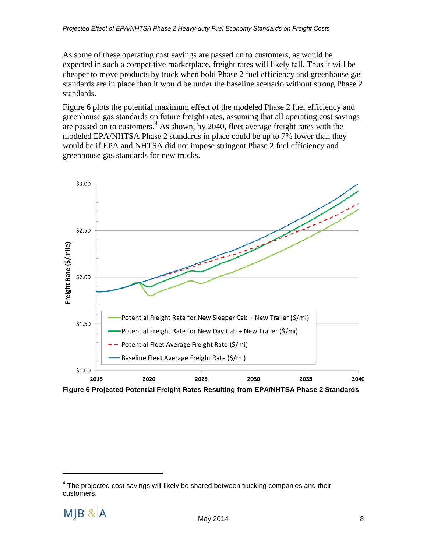As some of these operating cost savings are passed on to customers, as would be expected in such a competitive marketplace, freight rates will likely fall. Thus it will be cheaper to move products by truck when bold Phase 2 fuel efficiency and greenhouse gas standards are in place than it would be under the baseline scenario without strong Phase 2 standards.

Figure 6 plots the potential maximum effect of the modeled Phase 2 fuel efficiency and greenhouse gas standards on future freight rates, assuming that all operating cost savings are passed on to customers.<sup>[4](#page-10-0)</sup> As shown, by 2040, fleet average freight rates with the modeled EPA/NHTSA Phase 2 standards in place could be up to 7% lower than they would be if EPA and NHTSA did not impose stringent Phase 2 fuel efficiency and greenhouse gas standards for new trucks.



**Figure 6 Projected Potential Freight Rates Resulting from EPA/NHTSA Phase 2 Standards**

<span id="page-10-0"></span> $4$  The projected cost savings will likely be shared between trucking companies and their customers.

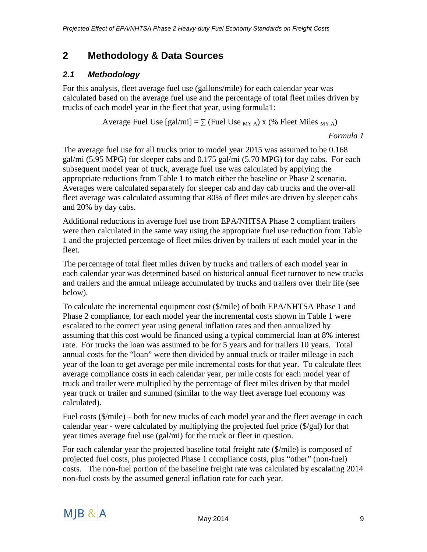### <span id="page-11-0"></span>**2 Methodology & Data Sources**

#### <span id="page-11-1"></span>*2.1 Methodology*

For this analysis, fleet average fuel use (gallons/mile) for each calendar year was calculated based on the average fuel use and the percentage of total fleet miles driven by trucks of each model year in the fleet that year, using formula1:

Average Fuel Use  $\lceil \text{gal/mi} \rceil = \sum_{k=1}^{\infty}$  (Fuel Use <sub>MY A</sub>) x (% Fleet Miles <sub>MY A</sub>)

*Formula 1*

The average fuel use for all trucks prior to model year 2015 was assumed to be 0.168 gal/mi (5.95 MPG) for sleeper cabs and 0.175 gal/mi (5.70 MPG) for day cabs. For each subsequent model year of truck, average fuel use was calculated by applying the appropriate reductions from Table 1 to match either the baseline or Phase 2 scenario. Averages were calculated separately for sleeper cab and day cab trucks and the over-all fleet average was calculated assuming that 80% of fleet miles are driven by sleeper cabs and 20% by day cabs.

Additional reductions in average fuel use from EPA/NHTSA Phase 2 compliant trailers were then calculated in the same way using the appropriate fuel use reduction from Table 1 and the projected percentage of fleet miles driven by trailers of each model year in the fleet.

The percentage of total fleet miles driven by trucks and trailers of each model year in each calendar year was determined based on historical annual fleet turnover to new trucks and trailers and the annual mileage accumulated by trucks and trailers over their life (see below).

To calculate the incremental equipment cost (\$/mile) of both EPA/NHTSA Phase 1 and Phase 2 compliance, for each model year the incremental costs shown in Table 1 were escalated to the correct year using general inflation rates and then annualized by assuming that this cost would be financed using a typical commercial loan at 8% interest rate. For trucks the loan was assumed to be for 5 years and for trailers 10 years. Total annual costs for the "loan" were then divided by annual truck or trailer mileage in each year of the loan to get average per mile incremental costs for that year. To calculate fleet average compliance costs in each calendar year, per mile costs for each model year of truck and trailer were multiplied by the percentage of fleet miles driven by that model year truck or trailer and summed (similar to the way fleet average fuel economy was calculated).

Fuel costs (\$/mile) – both for new trucks of each model year and the fleet average in each calendar year - were calculated by multiplying the projected fuel price (\$/gal) for that year times average fuel use (gal/mi) for the truck or fleet in question.

For each calendar year the projected baseline total freight rate (\$/mile) is composed of projected fuel costs, plus projected Phase 1 compliance costs, plus "other" (non-fuel) costs. The non-fuel portion of the baseline freight rate was calculated by escalating 2014 non-fuel costs by the assumed general inflation rate for each year.

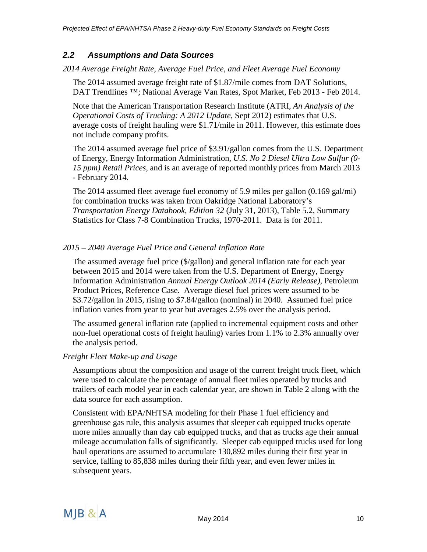#### <span id="page-12-0"></span>*2.2 Assumptions and Data Sources*

*2014 Average Freight Rate, Average Fuel Price, and Fleet Average Fuel Economy*

The 2014 assumed average freight rate of \$1.87/mile comes from DAT Solutions, DAT Trendlines ™; National Average Van Rates, Spot Market, Feb 2013 - Feb 2014.

Note that the American Transportation Research Institute (ATRI, *An Analysis of the Operational Costs of Trucking: A 2012 Update*, Sept 2012) estimates that U.S. average costs of freight hauling were \$1.71/mile in 2011. However, this estimate does not include company profits.

The 2014 assumed average fuel price of \$3.91/gallon comes from the U.S. Department of Energy, Energy Information Administration, *U.S. No 2 Diesel Ultra Low Sulfur (0- 15 ppm) Retail Prices,* and is an average of reported monthly prices from March 2013 - February 2014.

The 2014 assumed fleet average fuel economy of 5.9 miles per gallon (0.169 gal/mi) for combination trucks was taken from Oakridge National Laboratory's *Transportation Energy Databook, Edition 32* (July 31, 2013), Table 5.2, Summary Statistics for Class 7-8 Combination Trucks, 1970-2011. Data is for 2011.

#### *2015 – 2040 Average Fuel Price and General Inflation Rate*

The assumed average fuel price (\$/gallon) and general inflation rate for each year between 2015 and 2014 were taken from the U.S. Department of Energy, Energy Information Administration *Annual Energy Outlook 2014 (Early Release)*, Petroleum Product Prices, Reference Case. Average diesel fuel prices were assumed to be \$3.72/gallon in 2015, rising to \$7.84/gallon (nominal) in 2040. Assumed fuel price inflation varies from year to year but averages 2.5% over the analysis period.

The assumed general inflation rate (applied to incremental equipment costs and other non-fuel operational costs of freight hauling) varies from 1.1% to 2.3% annually over the analysis period.

#### *Freight Fleet Make-up and Usage*

Assumptions about the composition and usage of the current freight truck fleet, which were used to calculate the percentage of annual fleet miles operated by trucks and trailers of each model year in each calendar year, are shown in Table 2 along with the data source for each assumption.

Consistent with EPA/NHTSA modeling for their Phase 1 fuel efficiency and greenhouse gas rule, this analysis assumes that sleeper cab equipped trucks operate more miles annually than day cab equipped trucks, and that as trucks age their annual mileage accumulation falls of significantly. Sleeper cab equipped trucks used for long haul operations are assumed to accumulate 130,892 miles during their first year in service, falling to 85,838 miles during their fifth year, and even fewer miles in subsequent years.

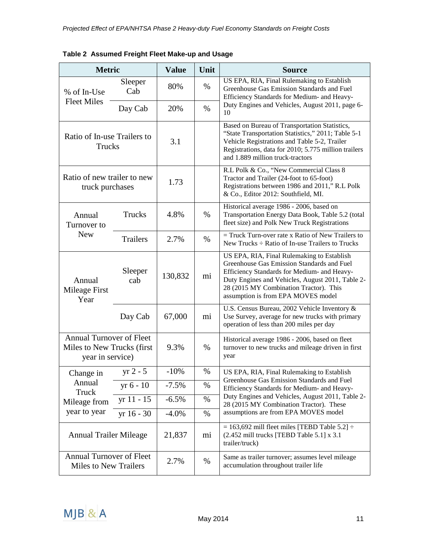| <b>Metric</b>                                                              |                 | <b>Value</b> | Unit | <b>Source</b>                                                                                                                                                                                                                                                               |
|----------------------------------------------------------------------------|-----------------|--------------|------|-----------------------------------------------------------------------------------------------------------------------------------------------------------------------------------------------------------------------------------------------------------------------------|
| % of In-Use                                                                | Sleeper<br>Cab  | 80%          | %    | US EPA, RIA, Final Rulemaking to Establish<br>Greenhouse Gas Emission Standards and Fuel<br>Efficiency Standards for Medium- and Heavy-                                                                                                                                     |
| <b>Fleet Miles</b>                                                         | Day Cab         | 20%          | $\%$ | Duty Engines and Vehicles, August 2011, page 6-<br>10                                                                                                                                                                                                                       |
| Ratio of In-use Trailers to<br>Trucks                                      |                 | 3.1          |      | Based on Bureau of Transportation Statistics,<br>"State Transportation Statistics," 2011; Table 5-1<br>Vehicle Registrations and Table 5-2, Trailer<br>Registrations, data for 2010; 5.775 million trailers<br>and 1.889 million truck-tractors                             |
| Ratio of new trailer to new<br>truck purchases                             |                 | 1.73         |      | R.L Polk & Co., "New Commercial Class 8<br>Tractor and Trailer (24-foot to 65-foot)<br>Registrations between 1986 and 2011," R.L Polk<br>& Co., Editor 2012: Southfield, MI.                                                                                                |
| Annual<br>Turnover to                                                      | Trucks          | 4.8%         | $\%$ | Historical average 1986 - 2006, based on<br>Transportation Energy Data Book, Table 5.2 (total<br>fleet size) and Polk New Truck Registrations                                                                                                                               |
| <b>New</b>                                                                 | <b>Trailers</b> | 2.7%         | $\%$ | $=$ Truck Turn-over rate x Ratio of New Trailers to<br>New Trucks $\div$ Ratio of In-use Trailers to Trucks                                                                                                                                                                 |
| Annual<br>Mileage First<br>Year                                            | Sleeper<br>cab  | 130,832      | mi   | US EPA, RIA, Final Rulemaking to Establish<br>Greenhouse Gas Emission Standards and Fuel<br>Efficiency Standards for Medium- and Heavy-<br>Duty Engines and Vehicles, August 2011, Table 2-<br>28 (2015 MY Combination Tractor). This<br>assumption is from EPA MOVES model |
|                                                                            | Day Cab         | 67,000       | mi   | U.S. Census Bureau, 2002 Vehicle Inventory &<br>Use Survey, average for new trucks with primary<br>operation of less than 200 miles per day                                                                                                                                 |
| Annual Turnover of Fleet<br>Miles to New Trucks (first<br>year in service) |                 | 9.3%         | $\%$ | Historical average 1986 - 2006, based on fleet<br>turnover to new trucks and mileage driven in first<br>year                                                                                                                                                                |
| Change in                                                                  | $yr 2 - 5$      | $-10%$       | %    | US EPA, RIA, Final Rulemaking to Establish                                                                                                                                                                                                                                  |
| Annual<br>Truck                                                            | yr 6 - 10       | $-7.5%$      | %    | Greenhouse Gas Emission Standards and Fuel<br>Efficiency Standards for Medium- and Heavy-                                                                                                                                                                                   |
| Mileage from                                                               | $yr 11 - 15$    | $-6.5%$      | %    | Duty Engines and Vehicles, August 2011, Table 2-<br>28 (2015 MY Combination Tractor). These                                                                                                                                                                                 |
| year to year                                                               | $yr$ 16 - 30    | $-4.0\%$     | %    | assumptions are from EPA MOVES model                                                                                                                                                                                                                                        |
| <b>Annual Trailer Mileage</b>                                              |                 | 21,837       | mi   | $= 163,692$ mill fleet miles [TEBD Table 5.2] $\div$<br>$(2.452 \text{ mill trucks}$ [TEBD Table 5.1] x 3.1<br>trailer/truck)                                                                                                                                               |
| <b>Annual Turnover of Fleet</b><br><b>Miles to New Trailers</b>            |                 | 2.7%         | %    | Same as trailer turnover; assumes level mileage<br>accumulation throughout trailer life                                                                                                                                                                                     |

**Table 2 Assumed Freight Fleet Make-up and Usage**

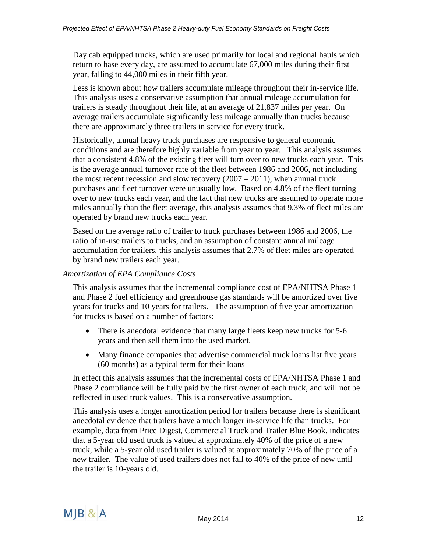Day cab equipped trucks, which are used primarily for local and regional hauls which return to base every day, are assumed to accumulate 67,000 miles during their first year, falling to 44,000 miles in their fifth year.

Less is known about how trailers accumulate mileage throughout their in-service life. This analysis uses a conservative assumption that annual mileage accumulation for trailers is steady throughout their life, at an average of 21,837 miles per year. On average trailers accumulate significantly less mileage annually than trucks because there are approximately three trailers in service for every truck.

Historically, annual heavy truck purchases are responsive to general economic conditions and are therefore highly variable from year to year. This analysis assumes that a consistent 4.8% of the existing fleet will turn over to new trucks each year. This is the average annual turnover rate of the fleet between 1986 and 2006, not including the most recent recession and slow recovery  $(2007 - 2011)$ , when annual truck purchases and fleet turnover were unusually low. Based on 4.8% of the fleet turning over to new trucks each year, and the fact that new trucks are assumed to operate more miles annually than the fleet average, this analysis assumes that 9.3% of fleet miles are operated by brand new trucks each year.

Based on the average ratio of trailer to truck purchases between 1986 and 2006, the ratio of in-use trailers to trucks, and an assumption of constant annual mileage accumulation for trailers, this analysis assumes that 2.7% of fleet miles are operated by brand new trailers each year.

#### *Amortization of EPA Compliance Costs*

This analysis assumes that the incremental compliance cost of EPA/NHTSA Phase 1 and Phase 2 fuel efficiency and greenhouse gas standards will be amortized over five years for trucks and 10 years for trailers. The assumption of five year amortization for trucks is based on a number of factors:

- There is anecdotal evidence that many large fleets keep new trucks for 5-6 years and then sell them into the used market.
- Many finance companies that advertise commercial truck loans list five years (60 months) as a typical term for their loans

In effect this analysis assumes that the incremental costs of EPA/NHTSA Phase 1 and Phase 2 compliance will be fully paid by the first owner of each truck, and will not be reflected in used truck values. This is a conservative assumption.

This analysis uses a longer amortization period for trailers because there is significant anecdotal evidence that trailers have a much longer in-service life than trucks. For example, data from Price Digest, Commercial Truck and Trailer Blue Book, indicates that a 5-year old used truck is valued at approximately 40% of the price of a new truck, while a 5-year old used trailer is valued at approximately 70% of the price of a new trailer. The value of used trailers does not fall to 40% of the price of new until the trailer is 10-years old.

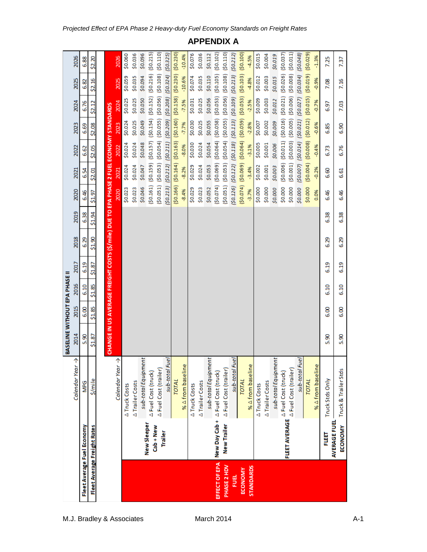|                  |                                       |                                   | BASELINE WITHOUT EPA PHASE                                                             |        |        |        |        |        |          |                       |                                                                       |          |          |                       |          |
|------------------|---------------------------------------|-----------------------------------|----------------------------------------------------------------------------------------|--------|--------|--------|--------|--------|----------|-----------------------|-----------------------------------------------------------------------|----------|----------|-----------------------|----------|
|                  |                                       | 个<br>Calendar Year                | 2014                                                                                   | 2015   | 2016   | 2017   | 2018   | 2019   | 2020     | 2021                  | 2022                                                                  | 2023     | 2024     | 2025                  | 2026     |
|                  | Fleet Average Fuel Economy            | <b>MPG</b>                        | 5.90                                                                                   | 6.00   | 6.10   | 6.19   | 6.29   | 6.38   | 6.46     | 6.54                  | 6.62                                                                  | 6.69     | 6.76     | 6.82                  | 6.88     |
|                  | Fleet Average Freight Rates           | \$/mile                           | 51.87                                                                                  | \$1.85 | \$1.85 | \$1.87 | \$1.90 | \$1.94 | \$1.97   | \$2.01                | \$2.05                                                                | \$2.08   | \$2.12   | \$2.16                | \$2.20   |
|                  |                                       |                                   |                                                                                        |        |        |        |        |        |          |                       |                                                                       |          |          |                       |          |
|                  |                                       |                                   | CHANGE IN US AVERAGE FREIGHT COSTS (\$/mile) DUE TO EPA PHASE 2 FUEL ECONOMY STANDARDS |        |        |        |        |        |          |                       |                                                                       |          |          |                       |          |
|                  |                                       | ↑<br>Calendar Year                |                                                                                        |        |        |        |        |        | 2020     | 2021                  | 2022                                                                  | 2023     | 2024     | 2025                  | 2026     |
|                  |                                       | A Truck Costs                     |                                                                                        |        |        |        |        |        | \$0.023  | \$0.024               | \$0.024                                                               | \$0.024  | \$0.025  | \$0.059               | \$0.060  |
|                  |                                       | A Trailer Costs                   |                                                                                        |        |        |        |        |        | \$0.023  | \$0.024               | \$0.024                                                               | \$0.025  | \$0.025  | \$0.035               | \$0.036  |
|                  |                                       | sub-total Equipment               |                                                                                        |        |        |        |        |        | \$0.046  | \$0.047               | \$0.048                                                               | \$0.049  | \$0.050  | \$0.094               | \$0.096  |
|                  | New Sleeper                           | A Fuel Cost (truck)               |                                                                                        |        |        |        |        |        | (50.161) | (50.159)              | $(50.157)$ $(50.154)$                                                 |          | (50.152) | (50.216)              | (50.215) |
|                  | $Cab + New$                           | A Fuel Cost (trailer)             |                                                                                        |        |        |        |        |        |          |                       | (\$0.051) (\$0.053) (\$0.054) (\$0.055) (\$0.056) (\$0.108) (\$0.110) |          |          |                       |          |
|                  | Trailer                               | sub-total Fuel                    |                                                                                        |        |        |        |        |        | (50.213) | (50.212)              | (50.211)                                                              | (50.209) | (50.208) | (50.324)              | (50.325) |
|                  |                                       | <b>TOTAL</b>                      |                                                                                        |        |        |        |        |        | (50.166) | (50.164)              | (50.163)                                                              | (50.160) | (50.158) | (50.230)              | (50.230) |
|                  |                                       | % A from baseline                 |                                                                                        |        |        |        |        |        | $-8.4%$  | $-8.2%$               | $-8.0%$                                                               | $-7.7%$  | $-7.5%$  | $-10.6%$              | $-10.4%$ |
|                  |                                       | A Truck Costs                     |                                                                                        |        |        |        |        |        | \$0.029  | \$0.029               | \$0.030                                                               | \$0.030  | \$0.031  | \$0.074               | \$0.076  |
|                  |                                       | ∆Trailer Costs                    |                                                                                        |        |        |        |        |        | \$0.023  | \$0.024               | \$0.024                                                               | \$0.025  | \$0.025  | \$0.035               | \$0.036  |
|                  |                                       | sub-total Equipment               |                                                                                        |        |        |        |        |        | \$0.052  | \$0.053               | \$0.054                                                               | \$0.055  | \$0.056  | \$0.110               | \$0.112  |
| EFFECT OF EPA    |                                       | New Day Cab + A Fuel Cost (truck) |                                                                                        |        |        |        |        |        | (50.074) | (50.069)              | (50.064)                                                              | (50.058) | (50.053) | (50.105)              | (50.102) |
| PHASE 2 HDV      | <b>New Trailer</b>                    | A Fuel Cost (trailer)             |                                                                                        |        |        |        |        |        | (50.051) | (50.053)              | (50.054)                                                              | (50.055) | (50.056) | (50.108)              | (50.110) |
| FUEL             |                                       | sub-total Fuel                    |                                                                                        |        |        |        |        |        | (50.126) | $(50.122)$ $(50.118)$ |                                                                       | (50.113) | (60.103) | (50.213)              | (50.212) |
| ECONOMY          |                                       | <b>TOTAL</b>                      |                                                                                        |        |        |        |        |        | (50.074) |                       | $(50.069)$ $(50.064)$                                                 | (60.05)  | (50.053) | (50.103)              | (50.100) |
| <b>STANDARDS</b> |                                       | % A from baseline                 |                                                                                        |        |        |        |        |        | $-3.7%$  | $-3.4%$               | $-3.1%$                                                               | $-2.8%$  | $-2.5%$  | -4.8%                 | $-4.5%$  |
|                  |                                       | ∆Truck Costs                      |                                                                                        |        |        |        |        |        | \$0.000  | \$0.002               | \$0.005                                                               | \$0.007  | \$0.009  | \$0.012               | \$0.015  |
|                  |                                       | ∆Trailer Costs                    |                                                                                        |        |        |        |        |        | \$0.000  | \$0.001               | \$0.001                                                               | \$0.002  | \$0.003  | \$0.003               | \$0.004  |
|                  |                                       | sub-total Equipment               |                                                                                        |        |        |        |        |        | \$0.000  | \$0.003               | \$0.006                                                               | \$0.009  | \$0.012  | \$0.015               | \$0.019  |
|                  |                                       | FLEET AVERAGE A Fuel Cost (truck) |                                                                                        |        |        |        |        |        | \$0.000  | (50.006)              | (50.011)                                                              | (50.016) | (50.021) | (50.026)              | (50.037) |
|                  |                                       | A Fuel Cost (trailer)             |                                                                                        |        |        |        |        |        | \$0.000  | (50.001)              | (50.003)                                                              | (50.005) | (50.006) | (50.008)              | (50.011) |
|                  |                                       | sub-total Fuel                    |                                                                                        |        |        |        |        |        | \$0.000  |                       | (\$0.007) (\$0.014) (\$0.021)                                         |          |          | $(50.027)$ $(50.034)$ | (50.048) |
|                  |                                       | <b>TOTAL</b>                      |                                                                                        |        |        |        |        |        | \$0.000  |                       | $(50.004)$ $(50.008)$                                                 | (50.012) | (50.015) | (610.02)              | (50.029) |
|                  |                                       | % A from baseline                 |                                                                                        |        |        |        |        |        | 0.0%     | $-0.2%$               | $-0.4%$                                                               | $-0.6%$  | $-0.7%$  | $-0.9%$               | $-1.3%$  |
|                  | EUET                                  | Truck Stds Only                   | 5.90                                                                                   | 6.00   | 6.10   | 6.19   | 6.29   | 6.38   | 6.46     | 6.60                  | 6.73                                                                  | 6.85     | 6.97     | 7.08                  | 7.25     |
|                  | <b>AVERAGE FUEL</b><br><b>ECONOMY</b> | Truck & Trailer Stds              | 5.90                                                                                   | 6.00   | 6.10   | 6.19   | 6.29   | 6.38   | 6.46     | 6.61                  | 6.76                                                                  | 6.90     | 7.03     | 7.16                  | 7.37     |

**APPENDIX A**